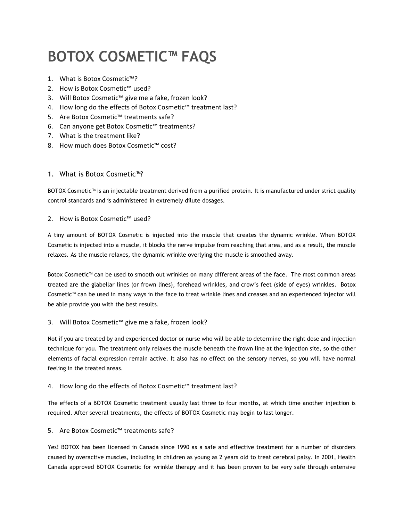# **BOTOX COSMETIC™ FAQS**

- 1. What is Botox Cosmetic™?
- 2. How is Botox Cosmetic™ used?
- 3. Will Botox Cosmetic™ give me a fake, frozen look?
- 4. How long do the effects of Botox Cosmetic™ treatment last?
- 5. Are Botox Cosmetic™ treatments safe?
- 6. Can anyone get Botox Cosmetic<sup>™</sup> treatments?
- 7. What is the treatment like?
- 8. How much does Botox Cosmetic™ cost?

## 1. What is Botox Cosmetic™?

BOTOX Cosmetic™ is an injectable treatment derived from a purified protein. It is manufactured under strict quality control standards and is administered in extremely dilute dosages.

#### 2. How is Botox Cosmetic™ used?

A tiny amount of BOTOX Cosmetic is injected into the muscle that creates the dynamic wrinkle. When BOTOX Cosmetic is injected into a muscle, it blocks the nerve impulse from reaching that area, and as a result, the muscle relaxes. As the muscle relaxes, the dynamic wrinkle overlying the muscle is smoothed away.

Botox Cosmetic™ can be used to smooth out wrinkles on many different areas of the face. The most common areas treated are the glabellar lines (or frown lines), forehead wrinkles, and crow's feet (side of eyes) wrinkles. Botox Cosmetic™ can be used in many ways in the face to treat wrinkle lines and creases and an experienced injector will be able provide you with the best results.

## 3. Will Botox Cosmetic<sup>™</sup> give me a fake, frozen look?

Not if you are treated by and experienced doctor or nurse who will be able to determine the right dose and injection technique for you. The treatment only relaxes the muscle beneath the frown line at the injection site, so the other elements of facial expression remain active. It also has no effect on the sensory nerves, so you will have normal feeling in the treated areas.

## 4. How long do the effects of Botox Cosmetic™ treatment last?

The effects of a BOTOX Cosmetic treatment usually last three to four months, at which time another injection is required. After several treatments, the effects of BOTOX Cosmetic may begin to last longer.

## 5. Are Botox Cosmetic™ treatments safe?

Yes! BOTOX has been licensed in Canada since 1990 as a safe and effective treatment for a number of disorders caused by overactive muscles, including in children as young as 2 years old to treat cerebral palsy. In 2001, Health Canada approved BOTOX Cosmetic for wrinkle therapy and it has been proven to be very safe through extensive